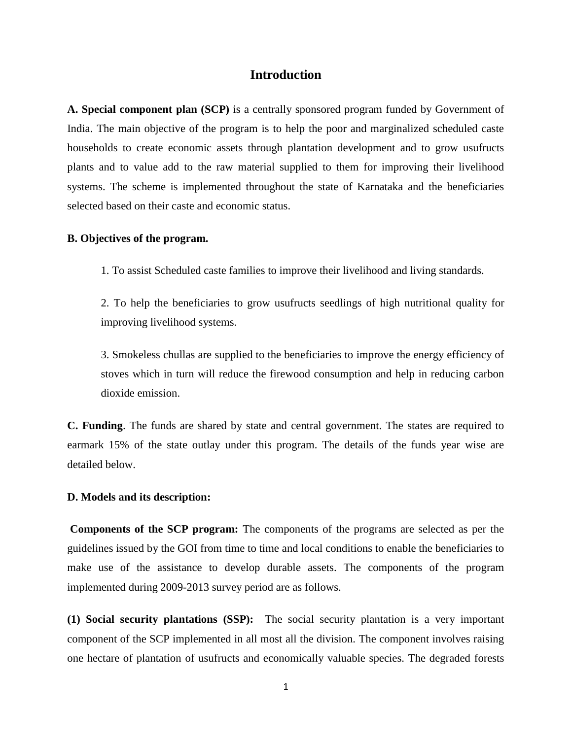### **Introduction**

**A. Special component plan (SCP)** is a centrally sponsored program funded by Government of India. The main objective of the program is to help the poor and marginalized scheduled caste households to create economic assets through plantation development and to grow usufructs plants and to value add to the raw material supplied to them for improving their livelihood systems. The scheme is implemented throughout the state of Karnataka and the beneficiaries selected based on their caste and economic status.

### **B. Objectives of the program.**

1. To assist Scheduled caste families to improve their livelihood and living standards.

2. To help the beneficiaries to grow usufructs seedlings of high nutritional quality for improving livelihood systems.

3. Smokeless chullas are supplied to the beneficiaries to improve the energy efficiency of stoves which in turn will reduce the firewood consumption and help in reducing carbon dioxide emission.

**C. Funding**. The funds are shared by state and central government. The states are required to earmark 15% of the state outlay under this program. The details of the funds year wise are detailed below.

#### **D. Models and its description:**

**Components of the SCP program:** The components of the programs are selected as per the guidelines issued by the GOI from time to time and local conditions to enable the beneficiaries to make use of the assistance to develop durable assets. The components of the program implemented during 2009-2013 survey period are as follows.

**(1) Social security plantations (SSP):** The social security plantation is a very important component of the SCP implemented in all most all the division. The component involves raising one hectare of plantation of usufructs and economically valuable species. The degraded forests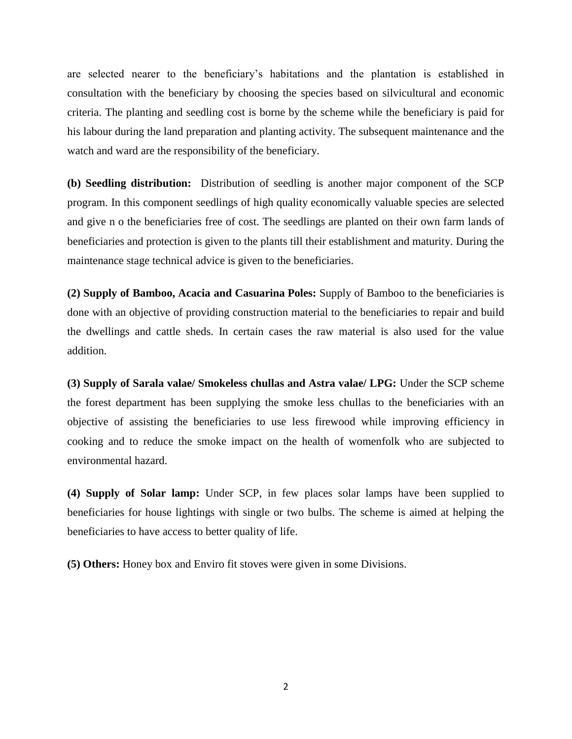are selected nearer to the beneficiary's habitations and the plantation is established in consultation with the beneficiary by choosing the species based on silvicultural and economic criteria. The planting and seedling cost is borne by the scheme while the beneficiary is paid for his labour during the land preparation and planting activity. The subsequent maintenance and the watch and ward are the responsibility of the beneficiary.

**(b) Seedling distribution:** Distribution of seedling is another major component of the SCP program. In this component seedlings of high quality economically valuable species are selected and give n o the beneficiaries free of cost. The seedlings are planted on their own farm lands of beneficiaries and protection is given to the plants till their establishment and maturity. During the maintenance stage technical advice is given to the beneficiaries.

**(2) Supply of Bamboo, Acacia and Casuarina Poles:** Supply of Bamboo to the beneficiaries is done with an objective of providing construction material to the beneficiaries to repair and build the dwellings and cattle sheds. In certain cases the raw material is also used for the value addition.

**(3) Supply of Sarala valae/ Smokeless chullas and Astra valae/ LPG:** Under the SCP scheme the forest department has been supplying the smoke less chullas to the beneficiaries with an objective of assisting the beneficiaries to use less firewood while improving efficiency in cooking and to reduce the smoke impact on the health of womenfolk who are subjected to environmental hazard.

**(4) Supply of Solar lamp:** Under SCP, in few places solar lamps have been supplied to beneficiaries for house lightings with single or two bulbs. The scheme is aimed at helping the beneficiaries to have access to better quality of life.

**(5) Others:** Honey box and Enviro fit stoves were given in some Divisions.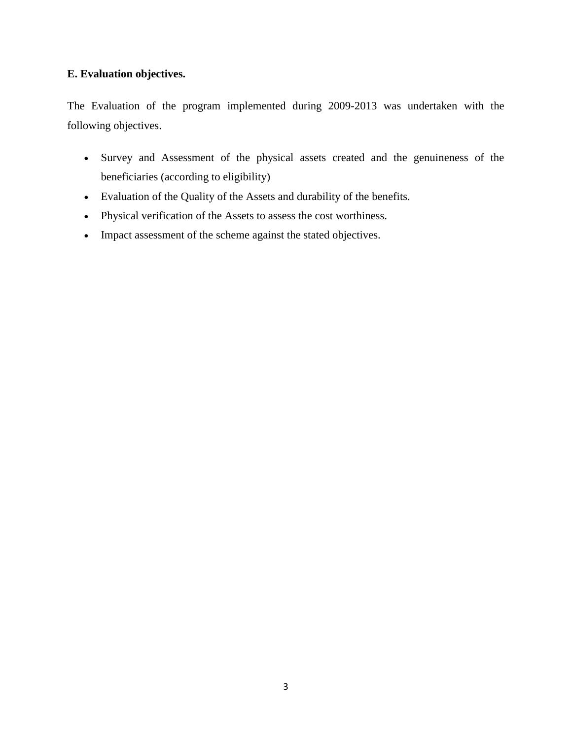# **E. Evaluation objectives.**

The Evaluation of the program implemented during 2009-2013 was undertaken with the following objectives.

- Survey and Assessment of the physical assets created and the genuineness of the beneficiaries (according to eligibility)
- Evaluation of the Quality of the Assets and durability of the benefits.
- Physical verification of the Assets to assess the cost worthiness.
- Impact assessment of the scheme against the stated objectives.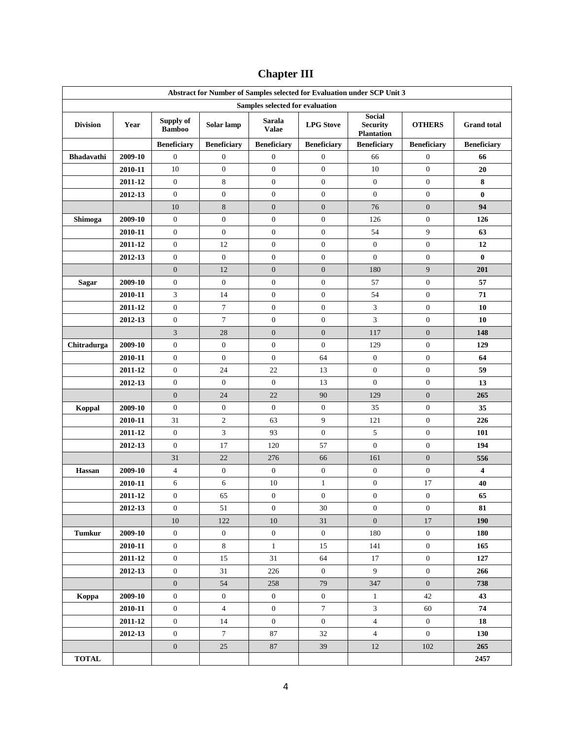| Abstract for Number of Samples selected for Evaluation under SCP Unit 3 |         |                            |                    |                                 |                    |                                                       |                    |                    |
|-------------------------------------------------------------------------|---------|----------------------------|--------------------|---------------------------------|--------------------|-------------------------------------------------------|--------------------|--------------------|
|                                                                         |         |                            |                    | Samples selected for evaluation |                    |                                                       |                    |                    |
| <b>Division</b>                                                         | Year    | Supply of<br><b>Bamboo</b> | Solar lamp         | <b>Sarala</b><br><b>Valae</b>   | <b>LPG</b> Stove   | <b>Social</b><br><b>Security</b><br><b>Plantation</b> | <b>OTHERS</b>      | <b>Grand</b> total |
|                                                                         |         | <b>Beneficiary</b>         | <b>Beneficiary</b> | <b>Beneficiary</b>              | <b>Beneficiary</b> | <b>Beneficiary</b>                                    | <b>Beneficiary</b> | <b>Beneficiary</b> |
| <b>Bhadavathi</b>                                                       | 2009-10 | $\mathbf{0}$               | $\boldsymbol{0}$   | $\boldsymbol{0}$                | $\boldsymbol{0}$   | 66                                                    | $\boldsymbol{0}$   | 66                 |
|                                                                         | 2010-11 | 10                         | $\boldsymbol{0}$   | $\mathbf{0}$                    | $\boldsymbol{0}$   | 10                                                    | $\boldsymbol{0}$   | 20                 |
|                                                                         | 2011-12 | $\mathbf{0}$               | 8                  | $\mathbf{0}$                    | $\boldsymbol{0}$   | $\mathbf{0}$                                          | $\boldsymbol{0}$   | 8                  |
|                                                                         | 2012-13 | $\mathbf{0}$               | $\boldsymbol{0}$   | $\boldsymbol{0}$                | $\boldsymbol{0}$   | $\boldsymbol{0}$                                      | $\boldsymbol{0}$   | $\bf{0}$           |
|                                                                         |         | 10                         | 8                  | $\boldsymbol{0}$                | $\boldsymbol{0}$   | 76                                                    | $\boldsymbol{0}$   | 94                 |
| Shimoga                                                                 | 2009-10 | $\boldsymbol{0}$           | $\boldsymbol{0}$   | $\boldsymbol{0}$                | $\boldsymbol{0}$   | 126                                                   | $\boldsymbol{0}$   | 126                |
|                                                                         | 2010-11 | $\boldsymbol{0}$           | $\boldsymbol{0}$   | $\boldsymbol{0}$                | $\boldsymbol{0}$   | 54                                                    | 9                  | 63                 |
|                                                                         | 2011-12 | $\mathbf{0}$               | 12                 | $\boldsymbol{0}$                | $\boldsymbol{0}$   | $\mathbf{0}$                                          | $\boldsymbol{0}$   | 12                 |
|                                                                         | 2012-13 | $\mathbf{0}$               | $\boldsymbol{0}$   | $\boldsymbol{0}$                | $\boldsymbol{0}$   | $\boldsymbol{0}$                                      | $\boldsymbol{0}$   | $\bf{0}$           |
|                                                                         |         | $\mathbf{0}$               | 12                 | $\mathbf{0}$                    | $\boldsymbol{0}$   | 180                                                   | 9                  | 201                |
| <b>Sagar</b>                                                            | 2009-10 | $\mathbf{0}$               | $\mathbf{0}$       | $\mathbf{0}$                    | $\mathbf{0}$       | 57                                                    | $\boldsymbol{0}$   | 57                 |
|                                                                         | 2010-11 | 3                          | 14                 | $\mathbf{0}$                    | $\boldsymbol{0}$   | 54                                                    | $\boldsymbol{0}$   | 71                 |
|                                                                         | 2011-12 | $\mathbf{0}$               | 7                  | $\mathbf{0}$                    | $\boldsymbol{0}$   | 3                                                     | $\boldsymbol{0}$   | 10                 |
|                                                                         | 2012-13 | $\mathbf{0}$               | $\tau$             | $\mathbf{0}$                    | $\boldsymbol{0}$   | 3                                                     | $\boldsymbol{0}$   | 10                 |
|                                                                         |         | 3                          | 28                 | $\boldsymbol{0}$                | $\mathbf{0}$       | 117                                                   | $\mathbf{0}$       | 148                |
| Chitradurga                                                             | 2009-10 | $\mathbf{0}$               | $\boldsymbol{0}$   | $\boldsymbol{0}$                | $\boldsymbol{0}$   | 129                                                   | $\boldsymbol{0}$   | 129                |
|                                                                         | 2010-11 | $\mathbf{0}$               | $\boldsymbol{0}$   | $\boldsymbol{0}$                | 64                 | $\boldsymbol{0}$                                      | $\boldsymbol{0}$   | 64                 |
|                                                                         | 2011-12 | $\mathbf{0}$               | 24                 | 22                              | 13                 | $\mathbf{0}$                                          | $\boldsymbol{0}$   | 59                 |
|                                                                         | 2012-13 | $\mathbf{0}$               | $\mathbf{0}$       | $\mathbf{0}$                    | 13                 | $\boldsymbol{0}$                                      | $\boldsymbol{0}$   | 13                 |
|                                                                         |         | $\mathbf{0}$               | 24                 | 22                              | 90                 | 129                                                   | $\boldsymbol{0}$   | 265                |
| Koppal                                                                  | 2009-10 | $\mathbf{0}$               | $\boldsymbol{0}$   | $\boldsymbol{0}$                | $\boldsymbol{0}$   | 35                                                    | $\boldsymbol{0}$   | 35                 |
|                                                                         | 2010-11 | 31                         | $\boldsymbol{2}$   | 63                              | 9                  | 121                                                   | $\boldsymbol{0}$   | 226                |
|                                                                         | 2011-12 | $\mathbf{0}$               | 3                  | 93                              | $\boldsymbol{0}$   | 5                                                     | $\boldsymbol{0}$   | 101                |
|                                                                         | 2012-13 | $\mathbf{0}$               | 17                 | 120                             | 57                 | $\boldsymbol{0}$                                      | $\boldsymbol{0}$   | 194                |
|                                                                         |         | 31                         | 22                 | 276                             | 66                 | 161                                                   | $\boldsymbol{0}$   | 556                |
| Hassan                                                                  | 2009-10 | 4                          | $\boldsymbol{0}$   | $\mathbf{0}$                    | $\mathbf{0}$       | $\boldsymbol{0}$                                      | $\boldsymbol{0}$   | 4                  |
|                                                                         | 2010-11 | 6                          | 6                  | 10                              | $\mathbf{1}$       | $\boldsymbol{0}$                                      | 17                 | 40                 |
|                                                                         | 2011-12 | $\boldsymbol{0}$           | 65                 | $\boldsymbol{0}$                | $\boldsymbol{0}$   | $\boldsymbol{0}$                                      | $\boldsymbol{0}$   | 65                 |
|                                                                         | 2012-13 | $\mathbf{0}$               | $51\,$             | $\boldsymbol{0}$                | 30                 | $\boldsymbol{0}$                                      | $\mathbf{0}$       | 81                 |
|                                                                         |         | 10                         | 122                | 10                              | 31                 | $\overline{0}$                                        | 17                 | 190                |
| <b>Tumkur</b>                                                           | 2009-10 | $\boldsymbol{0}$           | $\boldsymbol{0}$   | $\boldsymbol{0}$                | $\boldsymbol{0}$   | 180                                                   | $\boldsymbol{0}$   | 180                |
|                                                                         | 2010-11 | $\boldsymbol{0}$           | $8\,$              | $\mathbf{1}$                    | 15                 | 141                                                   | $\boldsymbol{0}$   | 165                |
|                                                                         | 2011-12 | $\boldsymbol{0}$           | 15                 | 31                              | 64                 | 17                                                    | $\overline{0}$     | 127                |
|                                                                         | 2012-13 | $\boldsymbol{0}$           | 31                 | 226                             | $\overline{0}$     | 9                                                     | $\overline{0}$     | 266                |
|                                                                         |         | $\boldsymbol{0}$           | 54                 | 258                             | 79                 | 347                                                   | $\boldsymbol{0}$   | 738                |
| Koppa                                                                   | 2009-10 | $\boldsymbol{0}$           | $\boldsymbol{0}$   | $\overline{0}$                  | $\mathbf{0}$       | $\mathbf{1}$                                          | 42                 | 43                 |
|                                                                         | 2010-11 | $\mathbf{0}$               | $\overline{4}$     | $\mathbf{0}$                    | $\boldsymbol{7}$   | 3                                                     | 60                 | 74                 |
|                                                                         | 2011-12 | $\boldsymbol{0}$           | 14                 | $\boldsymbol{0}$                | $\boldsymbol{0}$   | $\overline{4}$                                        | $\mathbf{0}$       | 18                 |
|                                                                         | 2012-13 | $\boldsymbol{0}$           | $\tau$             | 87                              | 32                 | $\overline{4}$                                        | $\mathbf{0}$       | 130                |
|                                                                         |         | $\mathbf{0}$               | 25                 | 87                              | 39                 | 12                                                    | 102                | 265                |
| <b>TOTAL</b>                                                            |         |                            |                    |                                 |                    |                                                       |                    | 2457               |

# **Chapter III**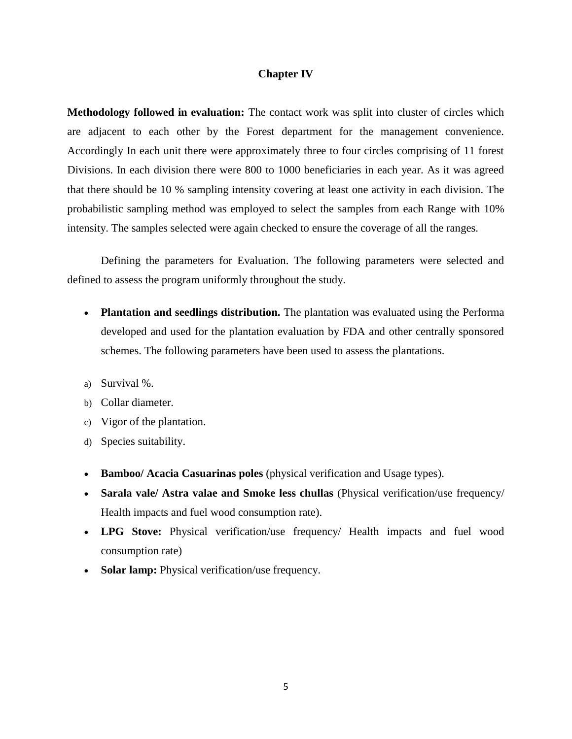#### **Chapter IV**

**Methodology followed in evaluation:** The contact work was split into cluster of circles which are adjacent to each other by the Forest department for the management convenience. Accordingly In each unit there were approximately three to four circles comprising of 11 forest Divisions. In each division there were 800 to 1000 beneficiaries in each year. As it was agreed that there should be 10 % sampling intensity covering at least one activity in each division. The probabilistic sampling method was employed to select the samples from each Range with 10% intensity. The samples selected were again checked to ensure the coverage of all the ranges.

Defining the parameters for Evaluation. The following parameters were selected and defined to assess the program uniformly throughout the study.

- **Plantation and seedlings distribution.** The plantation was evaluated using the Performa developed and used for the plantation evaluation by FDA and other centrally sponsored schemes. The following parameters have been used to assess the plantations.
- a) Survival %.
- b) Collar diameter.
- c) Vigor of the plantation.
- d) Species suitability.
- **Bamboo/ Acacia Casuarinas poles** (physical verification and Usage types).
- **Sarala vale/ Astra valae and Smoke less chullas** (Physical verification/use frequency/ Health impacts and fuel wood consumption rate).
- **LPG Stove:** Physical verification/use frequency/ Health impacts and fuel wood consumption rate)
- **Solar lamp:** Physical verification/use frequency.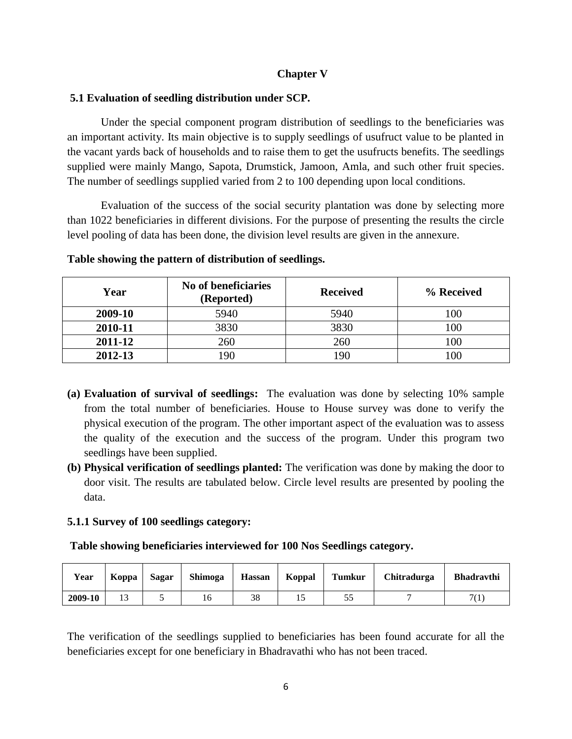### **Chapter V**

### **5.1 Evaluation of seedling distribution under SCP.**

Under the special component program distribution of seedlings to the beneficiaries was an important activity. Its main objective is to supply seedlings of usufruct value to be planted in the vacant yards back of households and to raise them to get the usufructs benefits. The seedlings supplied were mainly Mango, Sapota, Drumstick, Jamoon, Amla, and such other fruit species. The number of seedlings supplied varied from 2 to 100 depending upon local conditions.

Evaluation of the success of the social security plantation was done by selecting more than 1022 beneficiaries in different divisions. For the purpose of presenting the results the circle level pooling of data has been done, the division level results are given in the annexure.

| Year    | No of beneficiaries<br>(Reported) | <b>Received</b> | % Received |
|---------|-----------------------------------|-----------------|------------|
| 2009-10 | 5940                              | 5940            | 100        |
| 2010-11 | 3830                              | 3830            | 100        |
| 2011-12 | 260                               | 260             | 100        |
| 2012-13 | 90                                | 190             | 00         |

#### **Table showing the pattern of distribution of seedlings.**

- **(a) Evaluation of survival of seedlings:** The evaluation was done by selecting 10% sample from the total number of beneficiaries. House to House survey was done to verify the physical execution of the program. The other important aspect of the evaluation was to assess the quality of the execution and the success of the program. Under this program two seedlings have been supplied.
- **(b) Physical verification of seedlings planted:** The verification was done by making the door to door visit. The results are tabulated below. Circle level results are presented by pooling the data.

### **5.1.1 Survey of 100 seedlings category:**

**Table showing beneficiaries interviewed for 100 Nos Seedlings category.**

| Year    | Koppa | <b>Sagar</b> | Shimoga | <b>Hassan</b> | Koppal | <b>Tumkur</b> | Chitradurga | <b>Bhadravthi</b> |
|---------|-------|--------------|---------|---------------|--------|---------------|-------------|-------------------|
| 2009-10 | 13    |              | 16      | 38            |        |               |             | 7(1)              |

The verification of the seedlings supplied to beneficiaries has been found accurate for all the beneficiaries except for one beneficiary in Bhadravathi who has not been traced.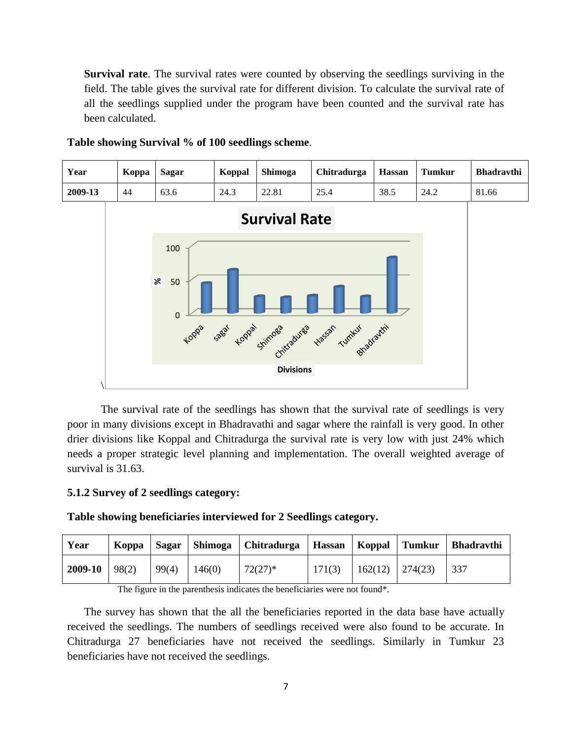**Survival rate**. The survival rates were counted by observing the seedlings surviving in the field. The table gives the survival rate for different division. To calculate the survival rate of all the seedlings supplied under the program have been counted and the survival rate has been calculated.



#### **Table showing Survival % of 100 seedlings scheme**.

The survival rate of the seedlings has shown that the survival rate of seedlings is very poor in many divisions except in Bhadravathi and sagar where the rainfall is very good. In other drier divisions like Koppal and Chitradurga the survival rate is very low with just 24% which needs a proper strategic level planning and implementation. The overall weighted average of survival is 31.63.

### **5.1.2 Survey of 2 seedlings category:**

#### **Table showing beneficiaries interviewed for 2 Seedlings category.**

| Year    | Koppa | Sagar |        | Shimoga   Chitradurga | Hassan   Koppal |         | Tumkur  | <b>Bhadravthi</b> |
|---------|-------|-------|--------|-----------------------|-----------------|---------|---------|-------------------|
| 2009-10 | 98(2) | 99(4) | 146(0) | $72(27)^*$            | 171(3)          | 162(12) | 274(23) | 337               |

The figure in the parenthesis indicates the beneficiaries were not found\*.

The survey has shown that the all the beneficiaries reported in the data base have actually received the seedlings. The numbers of seedlings received were also found to be accurate. In Chitradurga 27 beneficiaries have not received the seedlings. Similarly in Tumkur 23 beneficiaries have not received the seedlings.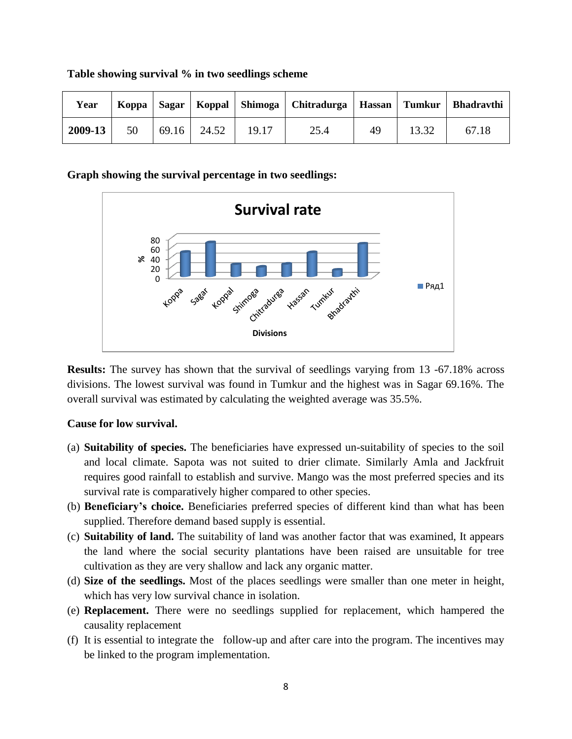| Year    |    |             |       | Koppa   Sagar   Koppal   Shimoga   Chitradurga   Hassan   Tumkur |    |       | <b>Bhadravthi</b> |
|---------|----|-------------|-------|------------------------------------------------------------------|----|-------|-------------------|
| 2009-13 | 50 | 69.16 24.52 | 19.17 | 25.4                                                             | 49 | 13.32 | 67.18             |

#### **Table showing survival % in two seedlings scheme**

### **Graph showing the survival percentage in two seedlings:**



**Results:** The survey has shown that the survival of seedlings varying from 13 -67.18% across divisions. The lowest survival was found in Tumkur and the highest was in Sagar 69.16%. The overall survival was estimated by calculating the weighted average was 35.5%.

### **Cause for low survival.**

- (a) **Suitability of species.** The beneficiaries have expressed un-suitability of species to the soil and local climate. Sapota was not suited to drier climate. Similarly Amla and Jackfruit requires good rainfall to establish and survive. Mango was the most preferred species and its survival rate is comparatively higher compared to other species.
- (b) **Beneficiary's choice.** Beneficiaries preferred species of different kind than what has been supplied. Therefore demand based supply is essential.
- (c) **Suitability of land.** The suitability of land was another factor that was examined, It appears the land where the social security plantations have been raised are unsuitable for tree cultivation as they are very shallow and lack any organic matter.
- (d) **Size of the seedlings.** Most of the places seedlings were smaller than one meter in height, which has very low survival chance in isolation.
- (e) **Replacement.** There were no seedlings supplied for replacement, which hampered the causality replacement
- (f) It is essential to integrate the follow-up and after care into the program. The incentives may be linked to the program implementation.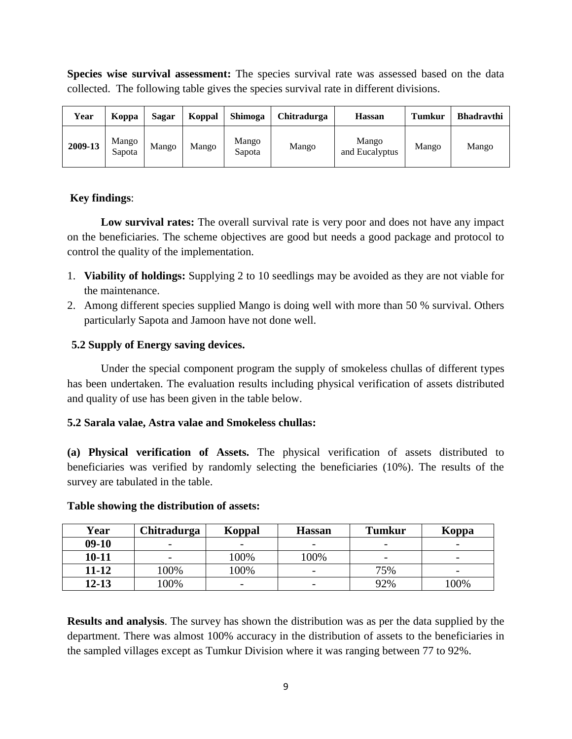**Species wise survival assessment:** The species survival rate was assessed based on the data collected. The following table gives the species survival rate in different divisions.

| Year    | Koppa           | Sagar | <b>Koppal</b> | <b>Shimoga</b>  | <b>Chitradurga</b> | <b>Hassan</b>           | Tumkur | <b>Bhadravthi</b> |
|---------|-----------------|-------|---------------|-----------------|--------------------|-------------------------|--------|-------------------|
| 2009-13 | Mango<br>Sapota | Mango | Mango         | Mango<br>Sapota | Mango              | Mango<br>and Eucalyptus | Mango  | Mango             |

# **Key findings**:

**Low survival rates:** The overall survival rate is very poor and does not have any impact on the beneficiaries. The scheme objectives are good but needs a good package and protocol to control the quality of the implementation.

- 1. **Viability of holdings:** Supplying 2 to 10 seedlings may be avoided as they are not viable for the maintenance.
- 2. Among different species supplied Mango is doing well with more than 50 % survival. Others particularly Sapota and Jamoon have not done well.

# **5.2 Supply of Energy saving devices.**

Under the special component program the supply of smokeless chullas of different types has been undertaken. The evaluation results including physical verification of assets distributed and quality of use has been given in the table below.

# **5.2 Sarala valae, Astra valae and Smokeless chullas:**

**(a) Physical verification of Assets.** The physical verification of assets distributed to beneficiaries was verified by randomly selecting the beneficiaries (10%). The results of the survey are tabulated in the table.

| Year      | Chitradurga              | Koppal                   | <b>Hassan</b>            | <b>Tumkur</b>            | Koppa                    |
|-----------|--------------------------|--------------------------|--------------------------|--------------------------|--------------------------|
| $09-10$   | $\overline{\phantom{0}}$ | $\overline{\phantom{0}}$ | $\overline{\phantom{0}}$ | $\overline{\phantom{0}}$ | $\overline{\phantom{0}}$ |
| $10-11$   | $\overline{\phantom{0}}$ | 100%                     | 100%                     |                          | $\overline{\phantom{a}}$ |
| $11 - 12$ | 100%                     | 100%                     | $\overline{\phantom{0}}$ | 75%                      | $\overline{\phantom{m}}$ |
| $12 - 13$ | 100%                     | $\overline{\phantom{0}}$ | $\overline{\phantom{0}}$ | 92%                      | 100%                     |

# **Table showing the distribution of assets:**

**Results and analysis**. The survey has shown the distribution was as per the data supplied by the department. There was almost 100% accuracy in the distribution of assets to the beneficiaries in the sampled villages except as Tumkur Division where it was ranging between 77 to 92%.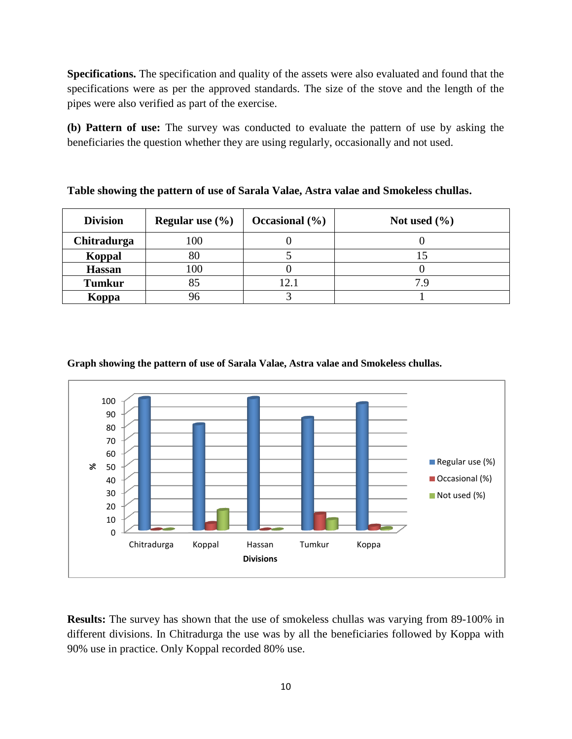**Specifications.** The specification and quality of the assets were also evaluated and found that the specifications were as per the approved standards. The size of the stove and the length of the pipes were also verified as part of the exercise.

**(b) Pattern of use:** The survey was conducted to evaluate the pattern of use by asking the beneficiaries the question whether they are using regularly, occasionally and not used.

| <b>Division</b> | Regular use $(\% )$ | Occasional $(\% )$ | Not used $(\% )$ |
|-----------------|---------------------|--------------------|------------------|
| Chitradurga     | 100                 |                    |                  |
| <b>Koppal</b>   | 80                  |                    |                  |
| <b>Hassan</b>   | 100                 |                    |                  |
| <b>Tumkur</b>   |                     | 2.1                |                  |
| Koppa           |                     |                    |                  |

**Table showing the pattern of use of Sarala Valae, Astra valae and Smokeless chullas.**



#### **Graph showing the pattern of use of Sarala Valae, Astra valae and Smokeless chullas.**

**Results:** The survey has shown that the use of smokeless chullas was varying from 89-100% in different divisions. In Chitradurga the use was by all the beneficiaries followed by Koppa with 90% use in practice. Only Koppal recorded 80% use.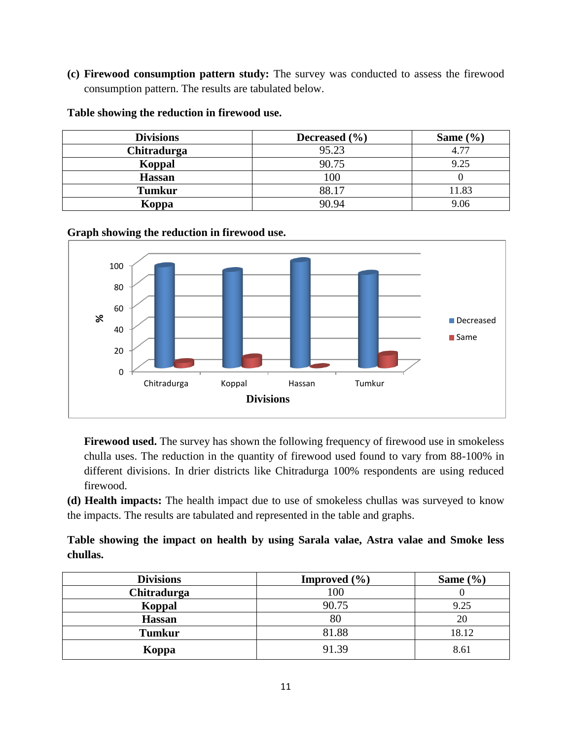**(c) Firewood consumption pattern study:** The survey was conducted to assess the firewood consumption pattern. The results are tabulated below.

**Table showing the reduction in firewood use.**

| <b>Divisions</b> | Decreased $(\% )$ | Same $(\% )$ |
|------------------|-------------------|--------------|
| Chitradurga      | 95.23             | 4.77         |
| Koppal           | 90.75             | 9.25         |
| <b>Hassan</b>    | 100               |              |
| <b>Tumkur</b>    | 88.17             | 11.83        |
| Koppa            | 90.94             | 9.06         |

# **Graph showing the reduction in firewood use.**



**Firewood used.** The survey has shown the following frequency of firewood use in smokeless chulla uses. The reduction in the quantity of firewood used found to vary from 88-100% in different divisions. In drier districts like Chitradurga 100% respondents are using reduced firewood.

**(d) Health impacts:** The health impact due to use of smokeless chullas was surveyed to know the impacts. The results are tabulated and represented in the table and graphs.

# **Table showing the impact on health by using Sarala valae, Astra valae and Smoke less chullas.**

| <b>Divisions</b> | <b>Improved</b> $(\% )$ | Same $(\% )$ |
|------------------|-------------------------|--------------|
| Chitradurga      | 100                     |              |
| Koppal           | 90.75                   | 9.25         |
| <b>Hassan</b>    | 80                      | 20           |
| <b>Tumkur</b>    | 81.88                   | 18.12        |
| Koppa            | 91.39                   | 8.61         |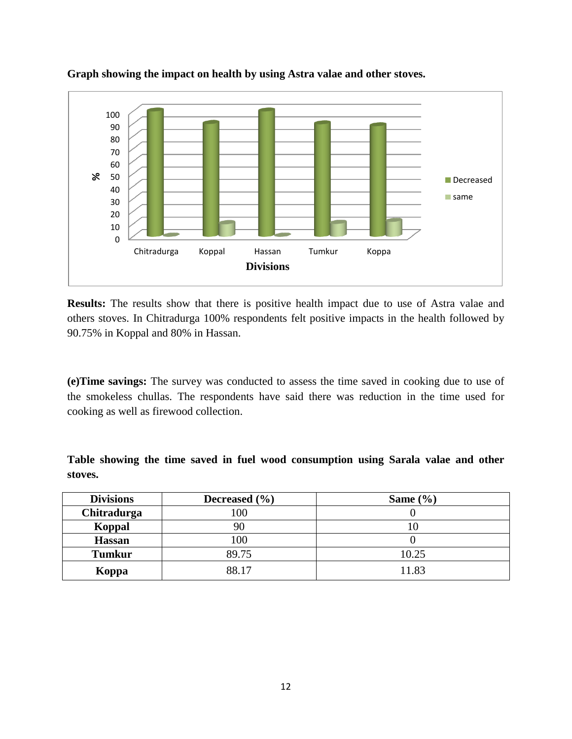

**Graph showing the impact on health by using Astra valae and other stoves.**

**Results:** The results show that there is positive health impact due to use of Astra valae and others stoves. In Chitradurga 100% respondents felt positive impacts in the health followed by 90.75% in Koppal and 80% in Hassan.

**(e)Time savings:** The survey was conducted to assess the time saved in cooking due to use of the smokeless chullas. The respondents have said there was reduction in the time used for cooking as well as firewood collection.

**Table showing the time saved in fuel wood consumption using Sarala valae and other stoves.**

| <b>Divisions</b> | Decreased $(\% )$ | Same $(\% )$ |
|------------------|-------------------|--------------|
| Chitradurga      | 100               |              |
| Koppal           |                   |              |
| <b>Hassan</b>    | 100               |              |
| <b>Tumkur</b>    | 89.75             | 10.25        |
| Koppa            | 88.17             | 11.83        |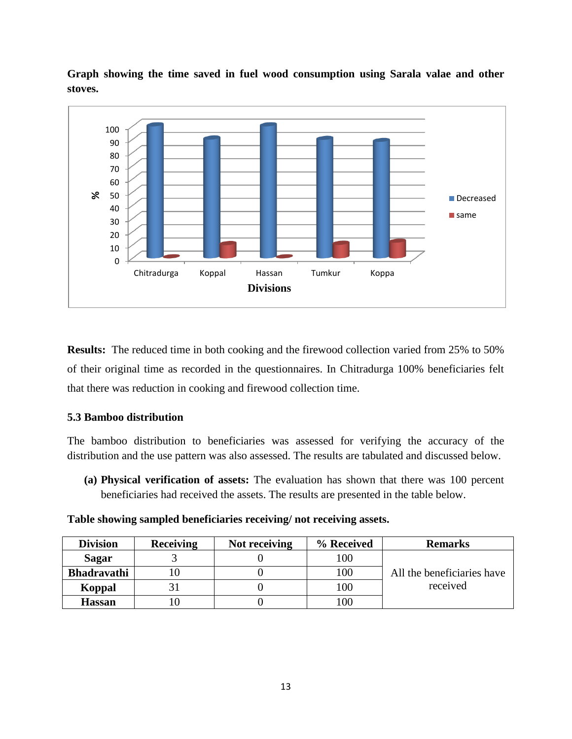

**Graph showing the time saved in fuel wood consumption using Sarala valae and other stoves.**

**Results:** The reduced time in both cooking and the firewood collection varied from 25% to 50% of their original time as recorded in the questionnaires. In Chitradurga 100% beneficiaries felt that there was reduction in cooking and firewood collection time.

# **5.3 Bamboo distribution**

The bamboo distribution to beneficiaries was assessed for verifying the accuracy of the distribution and the use pattern was also assessed. The results are tabulated and discussed below.

**(a) Physical verification of assets:** The evaluation has shown that there was 100 percent beneficiaries had received the assets. The results are presented in the table below.

|  | Table showing sampled beneficiaries receiving/ not receiving assets. |
|--|----------------------------------------------------------------------|

| <b>Division</b>    | <b>Receiving</b> | Not receiving | % Received | <b>Remarks</b>             |
|--------------------|------------------|---------------|------------|----------------------------|
| <b>Sagar</b>       |                  |               | 100        |                            |
| <b>Bhadravathi</b> |                  |               | 100        | All the beneficiaries have |
| Koppal             |                  |               | 100        | received                   |
| <b>Hassan</b>      |                  |               | 100        |                            |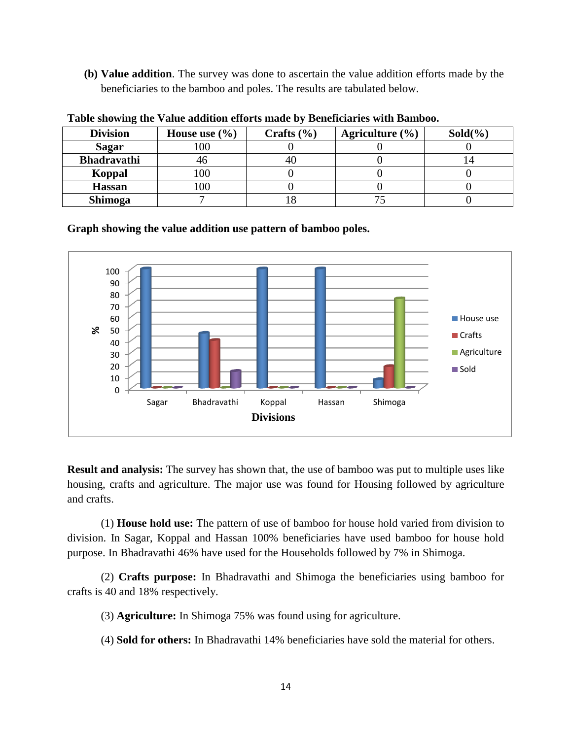**(b) Value addition**. The survey was done to ascertain the value addition efforts made by the beneficiaries to the bamboo and poles. The results are tabulated below.

| <b>Division</b>    | House use $(\% )$ | Crafts $(\% )$ | Agriculture $(\% )$ | $Sold(\%)$ |
|--------------------|-------------------|----------------|---------------------|------------|
| <b>Sagar</b>       |                   |                |                     |            |
| <b>Bhadravathi</b> |                   |                |                     |            |
| Koppal             |                   |                |                     |            |
| <b>Hassan</b>      |                   |                |                     |            |
| Shimoga            |                   |                |                     |            |

**Table showing the Value addition efforts made by Beneficiaries with Bamboo.**

**Graph showing the value addition use pattern of bamboo poles.**



**Result and analysis:** The survey has shown that, the use of bamboo was put to multiple uses like housing, crafts and agriculture. The major use was found for Housing followed by agriculture and crafts.

(1) **House hold use:** The pattern of use of bamboo for house hold varied from division to division. In Sagar, Koppal and Hassan 100% beneficiaries have used bamboo for house hold purpose. In Bhadravathi 46% have used for the Households followed by 7% in Shimoga.

(2) **Crafts purpose:** In Bhadravathi and Shimoga the beneficiaries using bamboo for crafts is 40 and 18% respectively.

(3) **Agriculture:** In Shimoga 75% was found using for agriculture.

(4) **Sold for others:** In Bhadravathi 14% beneficiaries have sold the material for others.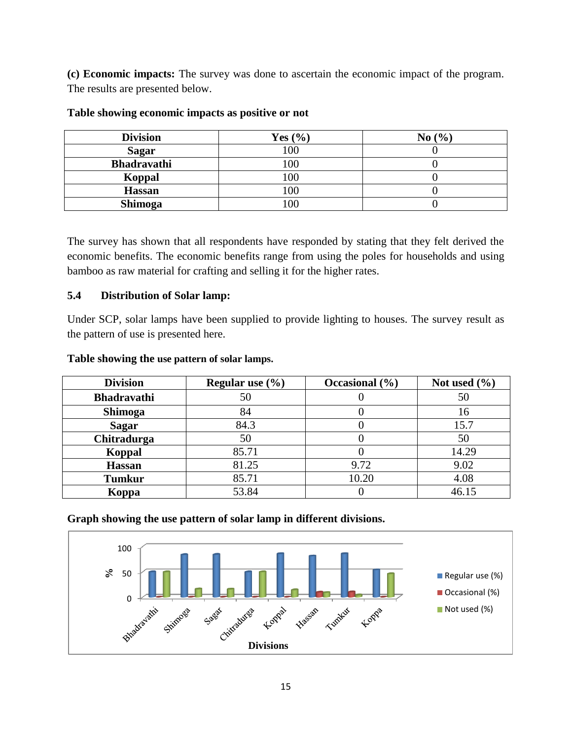**(c) Economic impacts:** The survey was done to ascertain the economic impact of the program. The results are presented below.

| <b>Division</b>    | Yes $(\% )$ | No $(\% )$ |
|--------------------|-------------|------------|
| <b>Sagar</b>       | 100         |            |
| <b>Bhadravathi</b> | 100         |            |
| Koppal             | 00          |            |
| <b>Hassan</b>      | 00          |            |
| Shimoga            | 00          |            |

### **Table showing economic impacts as positive or not**

The survey has shown that all respondents have responded by stating that they felt derived the economic benefits. The economic benefits range from using the poles for households and using bamboo as raw material for crafting and selling it for the higher rates.

# **5.4 Distribution of Solar lamp:**

Under SCP, solar lamps have been supplied to provide lighting to houses. The survey result as the pattern of use is presented here.

| <b>Division</b>    | Regular use $(\% )$ | Occasional $(\% )$ | Not used $(\% )$ |
|--------------------|---------------------|--------------------|------------------|
| <b>Bhadravathi</b> | 50                  |                    | 50               |
| Shimoga            | 84                  |                    | 16               |
| <b>Sagar</b>       | 84.3                |                    | 15.7             |
| Chitradurga        | 50                  |                    | 50               |
| <b>Koppal</b>      | 85.71               |                    | 14.29            |
| <b>Hassan</b>      | 81.25               | 9.72               | 9.02             |
| <b>Tumkur</b>      | 85.71               | 10.20              | 4.08             |
| Koppa              | 53.84               |                    | 46.15            |

### **Table showing the use pattern of solar lamps.**

**Graph showing the use pattern of solar lamp in different divisions.**

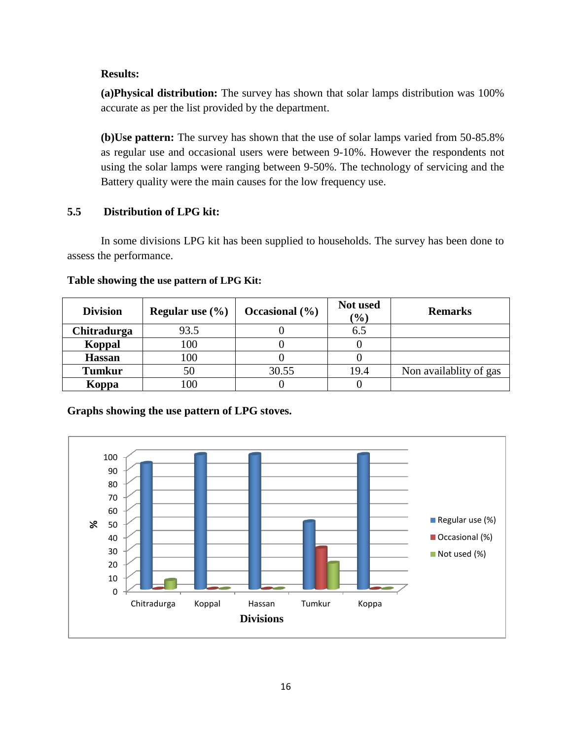### **Results:**

**(a)Physical distribution:** The survey has shown that solar lamps distribution was 100% accurate as per the list provided by the department.

**(b)Use pattern:** The survey has shown that the use of solar lamps varied from 50-85.8% as regular use and occasional users were between 9-10%. However the respondents not using the solar lamps were ranging between 9-50%. The technology of servicing and the Battery quality were the main causes for the low frequency use.

# **5.5 Distribution of LPG kit:**

In some divisions LPG kit has been supplied to households. The survey has been done to assess the performance.

| <b>Division</b> | Regular use $(\% )$ | Occasional $(\% )$ | Not used<br>$\frac{1}{2}$ | <b>Remarks</b>         |
|-----------------|---------------------|--------------------|---------------------------|------------------------|
| Chitradurga     | 93.5                |                    | 6.5                       |                        |
| <b>Koppal</b>   | 100                 |                    |                           |                        |
| <b>Hassan</b>   | 100                 |                    |                           |                        |
| <b>Tumkur</b>   | 50                  | 30.55              | 19.4                      | Non availablity of gas |
| Koppa           | 100                 |                    |                           |                        |

### **Table showing the use pattern of LPG Kit:**

**Graphs showing the use pattern of LPG stoves.**